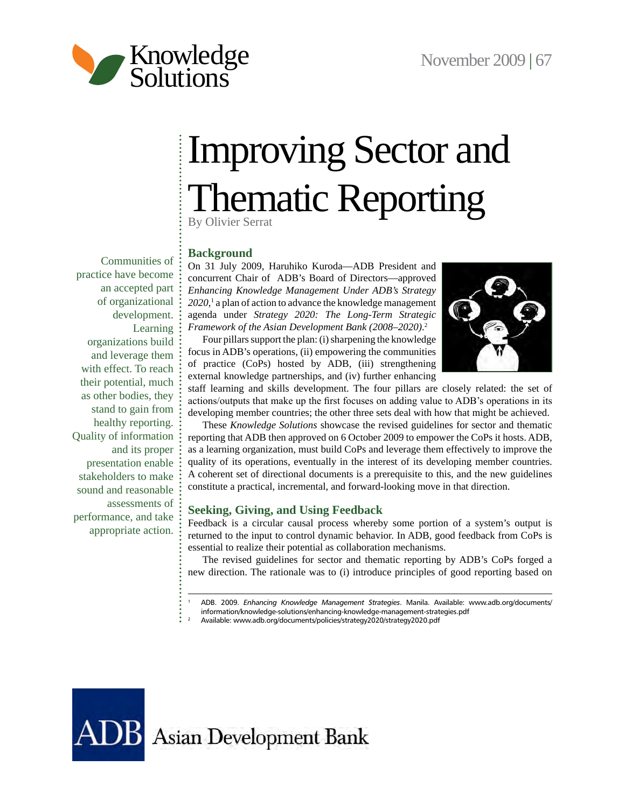

# Improving Sector and Thematic Reporting

By Olivier Serrat

# **Background**

Communities of practice have become an accepted part of organizational development. Learning organizations build and leverage them with effect. To reach their potential, much as other bodies, they stand to gain from healthy reporting. Quality of information and its proper presentation enable stakeholders to make sound and reasonable assessments of performance, and take appropriate action.

On 31 July 2009, Haruhiko Kuroda—ADB President and concurrent Chair of ADB's Board of Directors—approved *Enhancing Knowledge Management Under ADB's Strategy 2020*, 1 a plan of action to advance the knowledge management agenda under *Strategy 2020: The Long-Term Strategic Framework of the Asian Development Bank (2008–2020)*. 2

Four pillars support the plan: (i) sharpening the knowledge focus in ADB's operations, (ii) empowering the communities of practice (CoPs) hosted by ADB, (iii) strengthening external knowledge partnerships, and (iv) further enhancing



staff learning and skills development. The four pillars are closely related: the set of actions/outputs that make up the first focuses on adding value to ADB's operations in its developing member countries; the other three sets deal with how that might be achieved.

These *Knowledge Solutions* showcase the revised guidelines for sector and thematic reporting that ADB then approved on 6 October 2009 to empower the CoPs it hosts. ADB, as a learning organization, must build CoPs and leverage them effectively to improve the quality of its operations, eventually in the interest of its developing member countries. A coherent set of directional documents is a prerequisite to this, and the new guidelines constitute a practical, incremental, and forward-looking move in that direction.

# **Seeking, Giving, and Using Feedback**

Feedback is a circular causal process whereby some portion of a system's output is returned to the input to control dynamic behavior. In ADB, good feedback from CoPs is essential to realize their potential as collaboration mechanisms.

The revised guidelines for sector and thematic reporting by ADB's CoPs forged a new direction. The rationale was to (i) introduce principles of good reporting based on

1 ADB. 2009. *[Enhancing Knowledge Management Strategies](http://www.adb.org/documents/information/knowledge-solutions/enhancing-knowledge-management-strategies.pdf)*. Manila. Available: [www.adb.org/documents/](http://www.adb.org/documents/information/knowledge-solutions/enhancing-knowledge-management-strategies.pdf)

**B** Asian Development Bank

[information/knowledge-solutions/enhancing-knowledge-management-strategies.pdf](http://www.adb.org/documents/information/knowledge-solutions/enhancing-knowledge-management-strategies.pdf) 2 Available: [www.adb.org/documents/policies/strategy2020/strategy2020.pdf](http://www.adb.org/documents/policies/strategy2020/strategy2020.pdf)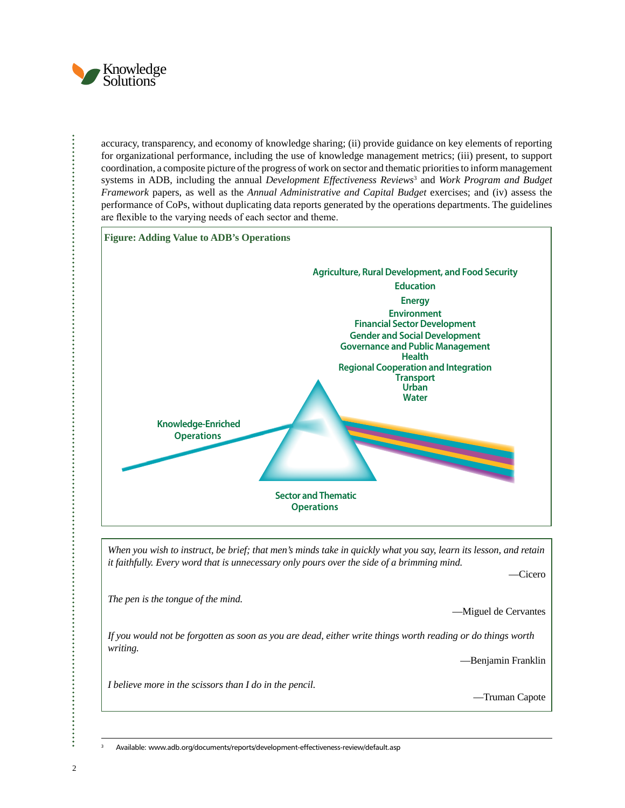

accuracy, transparency, and economy of knowledge sharing; (ii) provide guidance on key elements of reporting for organizational performance, including the use of knowledge management metrics; (iii) present, to support coordination, a composite picture of the progress of work on sector and thematic priorities to inform management systems in ADB, including the annual *Development Effectiveness Reviews*<sup>3</sup> and *Work Program and Budget Framework* papers, as well as the *Annual Administrative and Capital Budget* exercises; and (iv) assess the performance of CoPs, without duplicating data reports generated by the operations departments. The guidelines are flexible to the varying needs of each sector and theme.



*When you wish to instruct, be brief; that men's minds take in quickly what you say, learn its lesson, and retain it faithfully. Every word that is unnecessary only pours over the side of a brimming mind.*

—Cicero

*The pen is the tongue of the mind.*

—Miguel de Cervantes

*If you would not be forgotten as soon as you are dead, either write things worth reading or do things worth writing.* 

—Benjamin Franklin

*I believe more in the scissors than I do in the pencil.*

—Truman Capote

Available: [www.adb.org/documents/reports/development-effectiveness-review/default.asp](http://www.adb.org/documents/reports/development-effectiveness-review/default.asp)

 $\ddot{\cdot}$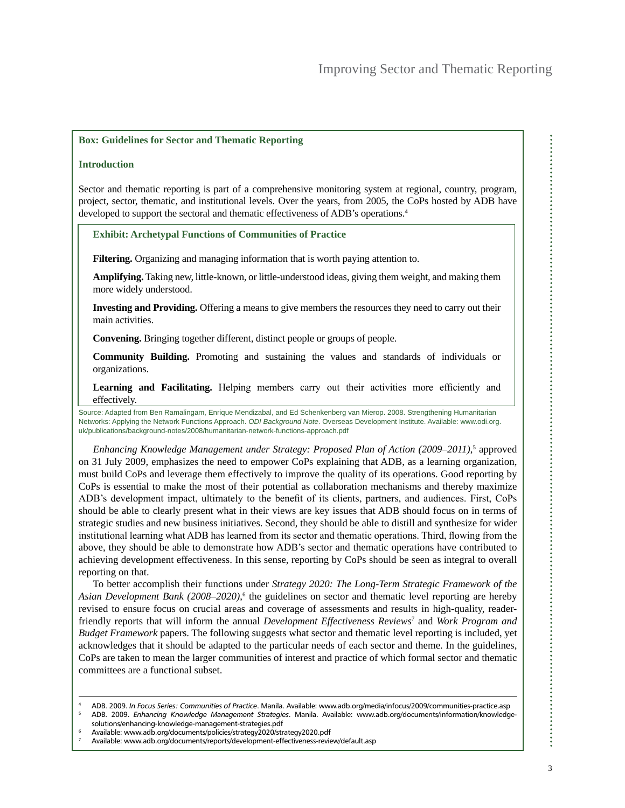#### **Box: Guidelines for Sector and Thematic Reporting**

#### **Introduction**

Sector and thematic reporting is part of a comprehensive monitoring system at regional, country, program, project, sector, thematic, and institutional levels. Over the years, from 2005, the CoPs hosted by ADB have developed to support the sectoral and thematic effectiveness of ADB's operations.<sup>4</sup>

### **Exhibit: Archetypal Functions of Communities of Practice**

**Filtering.** Organizing and managing information that is worth paying attention to.

**Amplifying.** Taking new, little-known, or little-understood ideas, giving them weight, and making them more widely understood.

**Investing and Providing.** Offering a means to give members the resources they need to carry out their main activities.

**Convening.** Bringing together different, distinct people or groups of people.

**Community Building.** Promoting and sustaining the values and standards of individuals or organizations.

Learning and Facilitating. Helping members carry out their activities more efficiently and effectively.

Source: Adapted from Ben Ramalingam, Enrique Mendizabal, and Ed Schenkenberg van Mierop. 2008. [Strengthening Humanitarian](http://www.odi.org.uk/publications/background-notes/2008/humanitarian-network-functions-approach.pdf)  [Networks: Applying the Network Functions Approach.](http://www.odi.org.uk/publications/background-notes/2008/humanitarian-network-functions-approach.pdf) *ODI Background Note*. Overseas Development Institute. Available: [www.odi.org.](http://www.odi.org.uk/publications/background-notes/2008/humanitarian-network-functions-approach.pdf) [uk/publications/background-notes/2008/humanitarian-network-functions-approach.pdf](http://www.odi.org.uk/publications/background-notes/2008/humanitarian-network-functions-approach.pdf)

Enhancing Knowledge Management under Strategy: Proposed Plan of Action (2009–2011),<sup>5</sup> approved on 31 July 2009, emphasizes the need to empower CoPs explaining that ADB, as a learning organization, must build CoPs and leverage them effectively to improve the quality of its operations. Good reporting by CoPs is essential to make the most of their potential as collaboration mechanisms and thereby maximize ADB's development impact, ultimately to the benefit of its clients, partners, and audiences. First, CoPs should be able to clearly present what in their views are key issues that ADB should focus on in terms of strategic studies and new business initiatives. Second, they should be able to distill and synthesize for wider institutional learning what ADB has learned from its sector and thematic operations. Third, flowing from the above, they should be able to demonstrate how ADB's sector and thematic operations have contributed to achieving development effectiveness. In this sense, reporting by CoPs should be seen as integral to overall reporting on that.

To better accomplish their functions under *Strategy 2020: The Long-Term Strategic Framework of the*  Asian Development Bank (2008–2020),<sup>6</sup> the guidelines on sector and thematic level reporting are hereby revised to ensure focus on crucial areas and coverage of assessments and results in high-quality, readerfriendly reports that will inform the annual *Development Effectiveness Reviews*<sup>7</sup> and *Work Program and Budget Framework* papers. The following suggests what sector and thematic level reporting is included, yet acknowledges that it should be adapted to the particular needs of each sector and theme. In the guidelines, CoPs are taken to mean the larger communities of interest and practice of which formal sector and thematic committees are a functional subset.

<sup>4</sup> ADB. 2009. *[In Focus Series: Communities of Practice](http://www.adb.org/media/infocus/2009/communities-practice.asp)*. Manila. Available: [www.adb.org/media/infocus/2009/communities-practice.asp](http://www.adb.org/media/infocus/2009/communities-practice.asp) 5 ADB. 2009. *[Enhancing Knowledge Management Strategies](http://www.adb.org/documents/information/knowledge-solutions/enhancing-knowledge-management-strategies.pdf)*. Manila. Available: [www.adb.org/documents/information/knowledge](http://www.adb.org/documents/information/knowledge-solutions/enhancing-knowledge-management-strategies.pdf)[solutions/enhancing-knowledge-management-strategies.pdf](http://www.adb.org/documents/information/knowledge-solutions/enhancing-knowledge-management-strategies.pdf)

<sup>6</sup> Available: [www.adb.org/documents/policies/strategy2020/strategy2020.pdf](http://www.adb.org/documents/policies/strategy2020/strategy2020.pdf)

<sup>7</sup> Available: [www.adb.org/documents/reports/development-effectiveness-review/default.asp](http://www.adb.org/documents/reports/development-effectiveness-review/default.asp)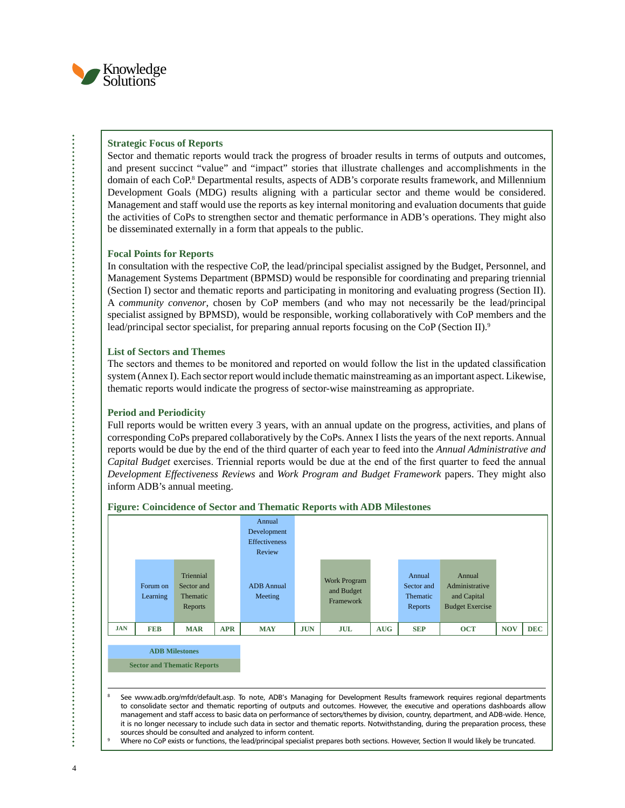

### **Strategic Focus of Reports**

Sector and thematic reports would track the progress of broader results in terms of outputs and outcomes, and present succinct "value" and "impact" stories that illustrate challenges and accomplishments in the domain of each CoP.<sup>8</sup> Departmental results, aspects of ADB's corporate results framework, and Millennium Development Goals (MDG) results aligning with a particular sector and theme would be considered. Management and staff would use the reports as key internal monitoring and evaluation documents that guide the activities of CoPs to strengthen sector and thematic performance in ADB's operations. They might also be disseminated externally in a form that appeals to the public.

#### **Focal Points for Reports**

In consultation with the respective CoP, the lead/principal specialist assigned by the Budget, Personnel, and Management Systems Department (BPMSD) would be responsible for coordinating and preparing triennial (Section I) sector and thematic reports and participating in monitoring and evaluating progress (Section II). A *community convenor*, chosen by CoP members (and who may not necessarily be the lead/principal specialist assigned by BPMSD), would be responsible, working collaboratively with CoP members and the lead/principal sector specialist, for preparing annual reports focusing on the CoP (Section II).<sup>9</sup>

#### **List of Sectors and Themes**

The sectors and themes to be monitored and reported on would follow the list in the updated classification system (Annex I). Each sector report would include thematic mainstreaming as an important aspect. Likewise, thematic reports would indicate the progress of sector-wise mainstreaming as appropriate.

#### **Period and Periodicity**

Full reports would be written every 3 years, with an annual update on the progress, activities, and plans of corresponding CoPs prepared collaboratively by the CoPs. Annex I lists the years of the next reports. Annual reports would be due by the end of the third quarter of each year to feed into the *Annual Administrative and Capital Budget* exercises. Triennial reports would be due at the end of the first quarter to feed the annual *Development Effectiveness Reviews* and *Work Program and Budget Framework* papers. They might also inform ADB's annual meeting.



#### **Figure: Coincidence of Sector and Thematic Reports with ADB Milestones**

management and staff access to basic data on performance of sectors/themes by division, country, department, and ADB-wide. Hence, it is no longer necessary to include such data in sector and thematic reports. Notwithstanding, during the preparation process, these sources should be consulted and analyzed to inform content.

9 Where no CoP exists or functions, the lead/principal specialist prepares both sections. However, Section II would likely be truncated.

J.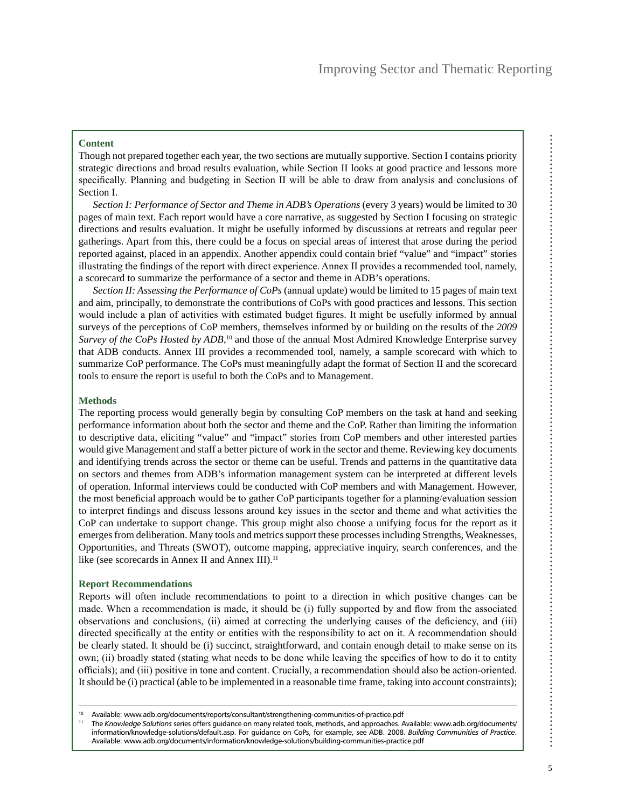#### **Content**

Though not prepared together each year, the two sections are mutually supportive. Section I contains priority strategic directions and broad results evaluation, while Section II looks at good practice and lessons more specifically. Planning and budgeting in Section II will be able to draw from analysis and conclusions of Section I.

*Section I: Performance of Sector and Theme in ADB's Operations* (every 3 years) would be limited to 30 pages of main text. Each report would have a core narrative, as suggested by Section I focusing on strategic directions and results evaluation. It might be usefully informed by discussions at retreats and regular peer gatherings. Apart from this, there could be a focus on special areas of interest that arose during the period reported against, placed in an appendix. Another appendix could contain brief "value" and "impact" stories illustrating the findings of the report with direct experience. Annex II provides a recommended tool, namely, a scorecard to summarize the performance of a sector and theme in ADB's operations.

*Section II: Assessing the Performance of CoPs* (annual update) would be limited to 15 pages of main text and aim, principally, to demonstrate the contributions of CoPs with good practices and lessons. This section would include a plan of activities with estimated budget figures. It might be usefully informed by annual surveys of the perceptions of CoP members, themselves informed by or building on the results of the *[2009](http://www.adb.org/documents/reports/consultant/strengthening-communities-of-practice.pdf)  [Survey of the CoPs Hosted by ADB](http://www.adb.org/documents/reports/consultant/strengthening-communities-of-practice.pdf)*,<sup>10</sup> and those of the annual Most Admired Knowledge Enterprise survey that ADB conducts. Annex III provides a recommended tool, namely, a sample scorecard with which to summarize CoP performance. The CoPs must meaningfully adapt the format of Section II and the scorecard tools to ensure the report is useful to both the CoPs and to Management.

### **Methods**

The reporting process would generally begin by consulting CoP members on the task at hand and seeking performance information about both the sector and theme and the CoP. Rather than limiting the information to descriptive data, eliciting "value" and "impact" stories from CoP members and other interested parties would give Management and staff a better picture of work in the sector and theme. Reviewing key documents and identifying trends across the sector or theme can be useful. Trends and patterns in the quantitative data on sectors and themes from ADB's information management system can be interpreted at different levels of operation. Informal interviews could be conducted with CoP members and with Management. However, the most beneficial approach would be to gather CoP participants together for a planning/evaluation session to interpret findings and discuss lessons around key issues in the sector and theme and what activities the CoP can undertake to support change. This group might also choose a unifying focus for the report as it emerges from deliberation. Many tools and metrics support these processes including Strengths, Weaknesses, Opportunities, and Threats (SWOT), outcome mapping, appreciative inquiry, search conferences, and the like (see scorecards in Annex II and Annex III).<sup>11</sup>

#### **Report Recommendations**

Reports will often include recommendations to point to a direction in which positive changes can be made. When a recommendation is made, it should be (i) fully supported by and flow from the associated observations and conclusions, (ii) aimed at correcting the underlying causes of the deficiency, and (iii) directed specifically at the entity or entities with the responsibility to act on it. A recommendation should be clearly stated. It should be (i) succinct, straightforward, and contain enough detail to make sense on its own; (ii) broadly stated (stating what needs to be done while leaving the specifics of how to do it to entity officials); and (iii) positive in tone and content. Crucially, a recommendation should also be action-oriented. It should be (i) practical (able to be implemented in a reasonable time frame, taking into account constraints);

11 The *[Knowledge Solutions](http://www.adb.org/documents/information/knowledge-solutions/default.asp)* series offers guidance on many related tools, methods, and approaches. Available: [www.adb.org/documents/](http://www.adb.org/documents/information/knowledge-solutions/default.asp) [information/knowledge-solutions/default.asp.](http://www.adb.org/documents/information/knowledge-solutions/default.asp) For guidance on CoPs, for example, see ADB. 2008. *[Building Communities of Practice](http://www.adb.org/documents/information/knowledge-solutions/building-communities-practice.pdf)*. Available: [www.adb.org/documents/information/knowledge-solutions/building-communities-practice.pdf](http://www.adb.org/documents/information/knowledge-solutions/building-communities-practice.pdf)

 $\ddot{\bullet}$ 

<sup>10</sup> Available: [www.adb.org/documents/reports/consultant/strengthening-communities-of-practice.pdf](http://www.adb.org/documents/reports/consultant/strengthening-communities-of-practice.pdf)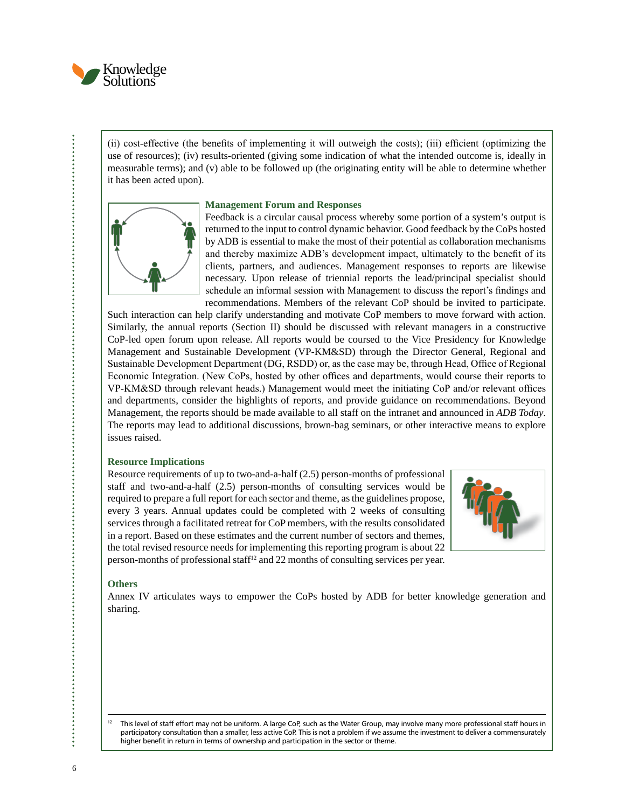

(ii) cost-effective (the benefits of implementing it will outweigh the costs); (iii) efficient (optimizing the use of resources); (iv) results-oriented (giving some indication of what the intended outcome is, ideally in measurable terms); and (v) able to be followed up (the originating entity will be able to determine whether it has been acted upon).



## **Management Forum and Responses**

Feedback is a circular causal process whereby some portion of a system's output is returned to the input to control dynamic behavior. Good feedback by the CoPs hosted by ADB is essential to make the most of their potential as collaboration mechanisms and thereby maximize ADB's development impact, ultimately to the benefit of its clients, partners, and audiences. Management responses to reports are likewise necessary. Upon release of triennial reports the lead/principal specialist should schedule an informal session with Management to discuss the report's findings and recommendations. Members of the relevant CoP should be invited to participate.

Such interaction can help clarify understanding and motivate CoP members to move forward with action. Similarly, the annual reports (Section II) should be discussed with relevant managers in a constructive CoP-led open forum upon release. All reports would be coursed to the Vice Presidency for Knowledge Management and Sustainable Development (VP-KM&SD) through the Director General, Regional and Sustainable Development Department (DG, RSDD) or, as the case may be, through Head, Office of Regional Economic Integration. (New CoPs, hosted by other offices and departments, would course their reports to VP-KM&SD through relevant heads.) Management would meet the initiating CoP and/or relevant offices and departments, consider the highlights of reports, and provide guidance on recommendations. Beyond Management, the reports should be made available to all staff on the intranet and announced in *ADB Today*. The reports may lead to additional discussions, brown-bag seminars, or other interactive means to explore issues raised.

#### **Resource Implications**

Resource requirements of up to two-and-a-half (2.5) person-months of professional staff and two-and-a-half (2.5) person-months of consulting services would be required to prepare a full report for each sector and theme, as the guidelines propose, every 3 years. Annual updates could be completed with 2 weeks of consulting services through a facilitated retreat for CoP members, with the results consolidated in a report. Based on these estimates and the current number of sectors and themes, the total revised resource needs for implementing this reporting program is about 22 person-months of professional staff<sup>12</sup> and 22 months of consulting services per year.



#### **Others**

Annex IV articulates ways to empower the CoPs hosted by ADB for better knowledge generation and sharing.

12 This level of staff effort may not be uniform. A large CoP, such as the Water Group, may involve many more professional staff hours in participatory consultation than a smaller, less active CoP. This is not a problem if we assume the investment to deliver a commensurately higher benefit in return in terms of ownership and participation in the sector or theme.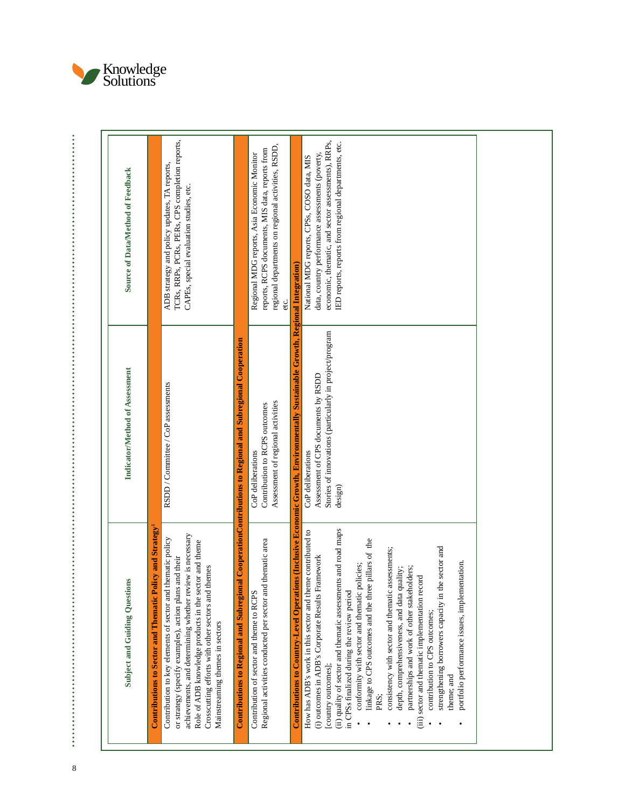

| Source of Data/Method of Feedback                                                                                                                                 | TCRs, RRPs, PCRs, PERs, CPS completion reports,<br>ADB strategy and policy updates, TA reports,<br>CAPEs, special evaluation studies, etc.                                                                                                                                                                                                                                           | regional departments on regional activities, RSDD,<br>reports, RCPS documents, MIS data, reports from<br>Regional MDG reports, Asia Economic Monitor<br>etc. | economic, thematic, and sector assessments), RRPs,<br>IED reports, reports from regional departments, etc.<br>data, country performance assessments (poverty,<br>National MDG reports, CPSs, COSO data, MIS                                                                                                                                                                                                                                                                                                                                                                                                                                                                                                                                                                                                                                                               |
|-------------------------------------------------------------------------------------------------------------------------------------------------------------------|--------------------------------------------------------------------------------------------------------------------------------------------------------------------------------------------------------------------------------------------------------------------------------------------------------------------------------------------------------------------------------------|--------------------------------------------------------------------------------------------------------------------------------------------------------------|---------------------------------------------------------------------------------------------------------------------------------------------------------------------------------------------------------------------------------------------------------------------------------------------------------------------------------------------------------------------------------------------------------------------------------------------------------------------------------------------------------------------------------------------------------------------------------------------------------------------------------------------------------------------------------------------------------------------------------------------------------------------------------------------------------------------------------------------------------------------------|
| Indicator/Method of Assessment<br>RSDD / Committee / CoP assessments                                                                                              |                                                                                                                                                                                                                                                                                                                                                                                      | Assessment of regional activities<br>Contribution to RCPS outcomes<br>CoP deliberations                                                                      | Stories of innovations (particularly in project/program<br>Assessment of CPS documents by RSDD<br>CoP deliberations<br>design)                                                                                                                                                                                                                                                                                                                                                                                                                                                                                                                                                                                                                                                                                                                                            |
| Contributions to Sector and Thematic Policy and Strategy<br>thematic policy<br><b>Subject and Guiding Questions</b><br>Contribution to key elements of sector and | Contributions to Regional and Subregional CooperationContributions to Regional and Subregional Cooperation<br>achievements, and determining whether review is necessary<br>Role of ADB knowledge products in the sector and theme<br>or strategy (specify examples), action plans and their<br>Crosscutting efforts with other sectors and themes<br>Mainstreaming themes in sectors | Regional activities conducted per sector and thematic area<br>Contribution of sector and theme to RCPS                                                       | Contributions to Country-Level Operations (Inclusive Economic Growth, Environmentally Sustainable Growth, Regional Integration)<br>How has ADB's work in this sector and theme contributed to<br>(ii) quality of sector and thematic assessments and road maps<br>linkage to CPS outcomes and the three pillars of the<br>strengthening borrowers capacity in the sector and<br>consistency with sector and thematic assessments;<br>(i) outcomes in ADB's Corporate Results Framework<br>portfolio performance issues, implementation.<br>conformity with sector and thematic policies;<br>partnerships and work of other stakeholders;<br>depth, comprehensiveness, and data quality;<br>sector and thematic implementation record<br>in CPSs finalized during the review period<br>contribution to CPS outcomes;<br>[country outcomes];<br>theme; and<br>PRS:<br>(iii) |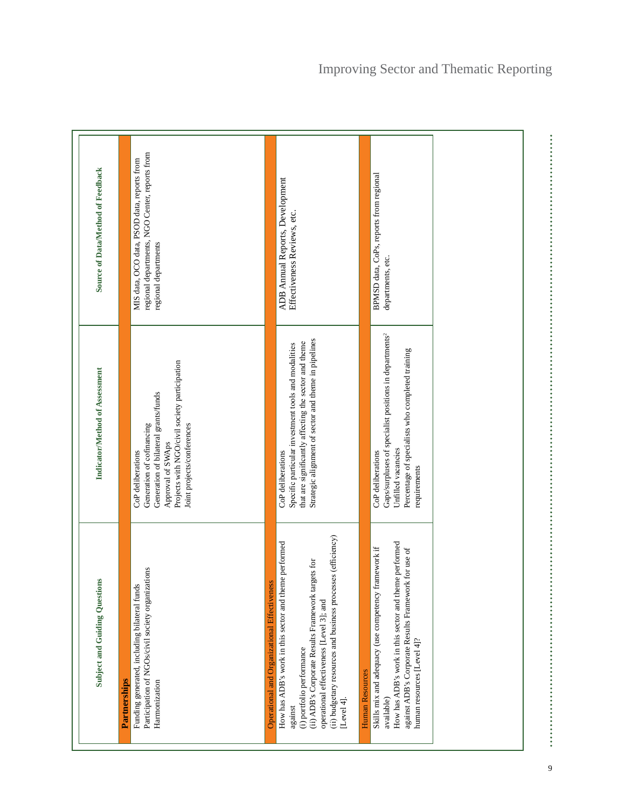| regional departments, NGO Center, reports from<br>MIS data, OCO data, PSOD data, reports from<br>BPMSD data, CoPs, reports from regional<br>ADB Annual Reports, Development<br>Effectiveness Reviews, etc.<br>regional departments<br>departments, etc.<br>Gaps/surpluses of specialist positions in departments <sup>2</sup><br>Strategic alignment of sector and theme in pipelines<br>that are significantly affecting the sector and theme<br>Specific particular investment tools and modalities<br>Percentage of specialists who completed training<br>Projects with NGO/civil society participation<br>Generation of bilateral grants/funds<br>Generation of cofinancing<br>Joint projects/conferences<br>Approval of SWAps<br>Unfilled vacancies<br>CoP deliberations<br>CoP deliberations<br>CoP deliberations<br>requirements<br>Participation of NGOs/civil society organizations<br>Funding generated, including bilateral funds |  |  |
|----------------------------------------------------------------------------------------------------------------------------------------------------------------------------------------------------------------------------------------------------------------------------------------------------------------------------------------------------------------------------------------------------------------------------------------------------------------------------------------------------------------------------------------------------------------------------------------------------------------------------------------------------------------------------------------------------------------------------------------------------------------------------------------------------------------------------------------------------------------------------------------------------------------------------------------------|--|--|
| (ii) budgetary resources and business processes (efficiency)<br>How has ADB's work in this sector and theme performed<br>How has ADB's work in this sector and theme performed<br>Skills mix and adequacy (use competency framework if<br>against ADB's Corporate Results Framework for use of<br>(ii) ADB's Corporate Results Framework targets for<br><b>Operational and Organizational Effectiveness</b><br>operational effectiveness [Level 3]; and<br>human resources [Level 4]?                                                                                                                                                                                                                                                                                                                                                                                                                                                        |  |  |
|                                                                                                                                                                                                                                                                                                                                                                                                                                                                                                                                                                                                                                                                                                                                                                                                                                                                                                                                              |  |  |
|                                                                                                                                                                                                                                                                                                                                                                                                                                                                                                                                                                                                                                                                                                                                                                                                                                                                                                                                              |  |  |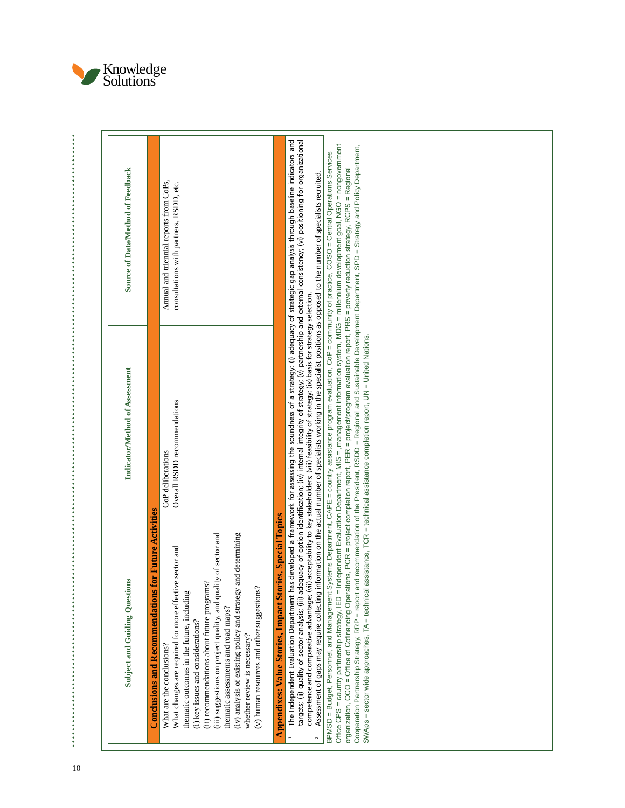

| Source of Data/Method of Feedback    |                                                                 | Annual and triennial reports from CoPs,<br>consultations with partners, RSDD, etc.                                                                                                                                                                                                                                                                                                                                                                                               |                                                                       |                                                                                                                                                                                                                                                                                                                                                                                                                                                                                                                                                                                                                                                                                                                                              |                                                                                                                                                                                                                                                                                                                                                                                                                                                                                                                                                                                                                                                                                                                                                                                                                                                                            |
|--------------------------------------|-----------------------------------------------------------------|----------------------------------------------------------------------------------------------------------------------------------------------------------------------------------------------------------------------------------------------------------------------------------------------------------------------------------------------------------------------------------------------------------------------------------------------------------------------------------|-----------------------------------------------------------------------|----------------------------------------------------------------------------------------------------------------------------------------------------------------------------------------------------------------------------------------------------------------------------------------------------------------------------------------------------------------------------------------------------------------------------------------------------------------------------------------------------------------------------------------------------------------------------------------------------------------------------------------------------------------------------------------------------------------------------------------------|----------------------------------------------------------------------------------------------------------------------------------------------------------------------------------------------------------------------------------------------------------------------------------------------------------------------------------------------------------------------------------------------------------------------------------------------------------------------------------------------------------------------------------------------------------------------------------------------------------------------------------------------------------------------------------------------------------------------------------------------------------------------------------------------------------------------------------------------------------------------------|
| Indicator/Method of Assessment       |                                                                 | Overall RSDD recommendations<br>CoP deliberations                                                                                                                                                                                                                                                                                                                                                                                                                                |                                                                       |                                                                                                                                                                                                                                                                                                                                                                                                                                                                                                                                                                                                                                                                                                                                              |                                                                                                                                                                                                                                                                                                                                                                                                                                                                                                                                                                                                                                                                                                                                                                                                                                                                            |
| <b>Subject and Guiding Questions</b> | for Future Activities<br><b>Conclusions and Recommendations</b> | (iii) suggestions on project quality, and quality of sector and<br>(iv) analysis of existing policy and strategy and determining<br>What changes are required for more effective sector and<br>(ii) recommendations about future programs?<br>(v) human resources and other suggestions?<br>thematic outcomes in the future, including<br>thematic assessments and road maps?<br>(i) key issues and considerations?<br>whether review is necessary?<br>What are the conclusions? | ries, Special Topics<br><b>Appendixes: Value Stories, Impact Stoi</b> | The Independent Evaluation Department has developed a framework for assessing the soundness of a strategy: (i) adequacy of strategic gap analysis through baseline indicators and<br>targets; (ii) quality of sector analysis; (iii) adequacy of option identification; (iv) internal integrity of strategy; (v) partnership and external consistency; (vi) positioning for organizational<br>Assessment of gaps may require collecting information on the actual number of specialists working in the specialist positions as opposed to the number of specialists recruited<br>competence and comparative advantage; (vii) acceptability to key stakeholders; (viii) feasibility of strategy; (ix) basis for strategy selection.<br>$\sim$ | Office CPS = country partnership strategy, IED = Independent Evaluation Department, MIS = ,management information system, MDG = millennium development goal, NGO = nongovernment<br>Cooperation Partnership Strategy, RRP = report and recommendation of the President, RSDD = Regional and Sustainable Development Department, SPD = Strategy and Policy Department,<br>BPMSD = Budget, Personnel, and Management Systems Department, CAPE = country assistance program evaluation, CoP = community of practice, COSO = Central Operations Services<br>organization, OCO = Office of Cofinancing Operations, PCR = project completion report, PER = project/program evaluation report, PRS = poverty reduction strategy, RCPS = Regional<br>SWAps = sector wide approaches, TA = technical assistance, TCR = technical assistance completion report, UN = United Nations. |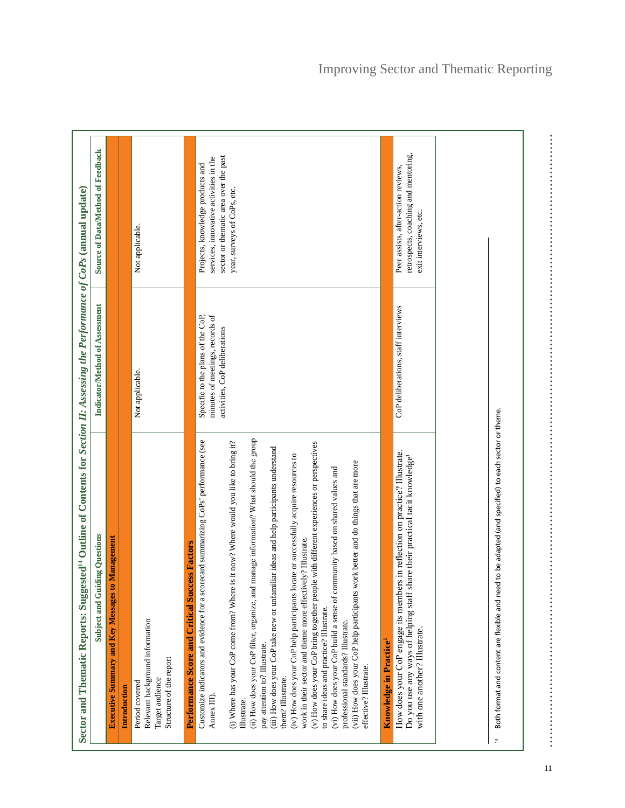| Sector and Thematic Reports: Suggested <sup>14</sup> Outline of Contents for Section II: Assessing the Performance of CoPs (annual update)                                                                                                                                                                                                                                                                                                                                                                                                                                                                                                                                                                                                                                                                                                                                                                                                                                                       |                                                                                                       |                                                                                                                                                    |
|--------------------------------------------------------------------------------------------------------------------------------------------------------------------------------------------------------------------------------------------------------------------------------------------------------------------------------------------------------------------------------------------------------------------------------------------------------------------------------------------------------------------------------------------------------------------------------------------------------------------------------------------------------------------------------------------------------------------------------------------------------------------------------------------------------------------------------------------------------------------------------------------------------------------------------------------------------------------------------------------------|-------------------------------------------------------------------------------------------------------|----------------------------------------------------------------------------------------------------------------------------------------------------|
| <b>Subject and Guiding Questions</b>                                                                                                                                                                                                                                                                                                                                                                                                                                                                                                                                                                                                                                                                                                                                                                                                                                                                                                                                                             | Indicator/Method of Assessment                                                                        | Source of Data/Method of Feedback                                                                                                                  |
| Management<br><b>Executive Summary and Key Messages to</b>                                                                                                                                                                                                                                                                                                                                                                                                                                                                                                                                                                                                                                                                                                                                                                                                                                                                                                                                       |                                                                                                       |                                                                                                                                                    |
| Introduction                                                                                                                                                                                                                                                                                                                                                                                                                                                                                                                                                                                                                                                                                                                                                                                                                                                                                                                                                                                     |                                                                                                       |                                                                                                                                                    |
| Relevant background information<br>Structure of the report<br>Target audience<br>Period covered                                                                                                                                                                                                                                                                                                                                                                                                                                                                                                                                                                                                                                                                                                                                                                                                                                                                                                  | Not applicable.                                                                                       | Not applicable.                                                                                                                                    |
| ess Factors<br><b>Succ</b><br>Critical<br>Performance Score and                                                                                                                                                                                                                                                                                                                                                                                                                                                                                                                                                                                                                                                                                                                                                                                                                                                                                                                                  |                                                                                                       |                                                                                                                                                    |
| manage information? What should the group<br>Customize indicators and evidence for a scorecard summarizing CoPs' performance (see<br>is it now? Where would you like to bring it?<br>(v) How does your CoP bring together people with different experiences or perspectives<br>(iii) How does your CoP take new or unfamiliar ideas and help participants understand<br>(iv) How does your CoP help participants locate or successfully acquire resources to<br>ork better and do things that are more<br>(vi) How does your CoP build a sense of community based on shared values and<br>work in their sector and theme more effectively? Illustrate.<br>(vii) How does your CoP help participants w<br>(ii) How does your CoP filter, organize, and<br>(i) Where has your CoP come from? Where<br>to share ideas and practice? Illustrate.<br>professional standards? Illustrate.<br>pay attention to? Illustrate.<br>effective? Illustrate.<br>them? Illustrate.<br>Annex III)<br>Illustrate. | Specific to the plans of the CoP,<br>minutes of meetings, records of<br>activities, CoP deliberations | sector or thematic area over the past<br>services, innovative activities in the<br>Projects, knowledge products and<br>year, surveys of CoPs, etc. |
| <b>Knowledge in Practice</b>                                                                                                                                                                                                                                                                                                                                                                                                                                                                                                                                                                                                                                                                                                                                                                                                                                                                                                                                                                     |                                                                                                       |                                                                                                                                                    |
| How does your CoP engage its members in reflection on practice? Illustrate.<br>Do you use any ways of helping staff share their practical tacit knowledge1<br>with one another? Illustrate                                                                                                                                                                                                                                                                                                                                                                                                                                                                                                                                                                                                                                                                                                                                                                                                       | CoP deliberations, staff interviews                                                                   | retrospects, coaching and mentoring,<br>Peer assists, after-action reviews,<br>exit interviews, etc.                                               |
|                                                                                                                                                                                                                                                                                                                                                                                                                                                                                                                                                                                                                                                                                                                                                                                                                                                                                                                                                                                                  |                                                                                                       |                                                                                                                                                    |
| Both format and content are flexible and need to be adapted (and specified) to each sector or therne.<br>$\overline{4}$                                                                                                                                                                                                                                                                                                                                                                                                                                                                                                                                                                                                                                                                                                                                                                                                                                                                          |                                                                                                       |                                                                                                                                                    |
|                                                                                                                                                                                                                                                                                                                                                                                                                                                                                                                                                                                                                                                                                                                                                                                                                                                                                                                                                                                                  |                                                                                                       |                                                                                                                                                    |

 $\ddot{\cdot}$ 

......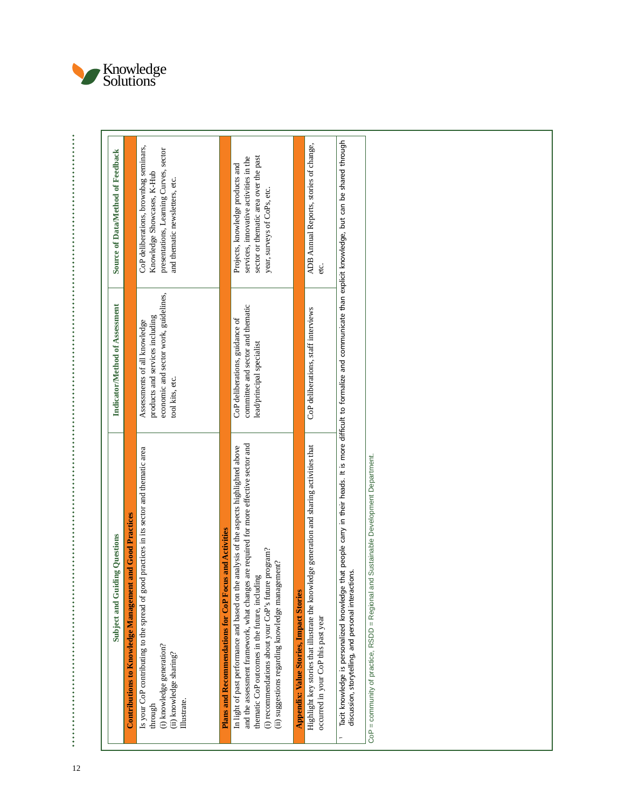

| Source of Data/Method of Feedback                                                                       | CoP deliberations, brownbag seminars,<br>presentations, Learning Curves, sector<br>Knowledge Showcases, K-Hub<br>and thematic newsletters, etc.                            | sector or thematic area over the past<br>services, innovative activities in the<br>Projects, knowledge products and<br>year, surveys of CoPs, etc.                                                                                                                                                                                                                                                                            | ADB Annual Reports, stories of change,<br>etc.                                                                                                                                      |                                                                                                                                                                                                                                   |
|---------------------------------------------------------------------------------------------------------|----------------------------------------------------------------------------------------------------------------------------------------------------------------------------|-------------------------------------------------------------------------------------------------------------------------------------------------------------------------------------------------------------------------------------------------------------------------------------------------------------------------------------------------------------------------------------------------------------------------------|-------------------------------------------------------------------------------------------------------------------------------------------------------------------------------------|-----------------------------------------------------------------------------------------------------------------------------------------------------------------------------------------------------------------------------------|
| Indicator/Method of Assessment                                                                          | economic and sector work, guidelines,<br>products and services including<br>Assessments of all knowledge<br>tool kits, etc.                                                | committee and sector and thematic<br>CoP deliberations, guidance of<br>lead/principal specialist                                                                                                                                                                                                                                                                                                                              | CoP deliberations, staff interviews                                                                                                                                                 |                                                                                                                                                                                                                                   |
| <b>Contributions to Knowledge Management and Good Practices</b><br><b>Subject and Guiding Questions</b> | Is your CoP contributing to the spread of good practices in its sector and thematic area<br>(i) knowledge generation?<br>(ii) knowledge sharing?<br>Illustrate.<br>through | and the assessment framework, what changes are required for more effective sector and<br>the analysis of the aspects highlighted above<br><b>ocus</b> and Activities<br>(i) recommendations about your CoP's future program?<br>(ii) suggestions regarding knowledge management?<br>thematic CoP outcomes in the future, including<br><b>Plans and Recommendations for CoP F</b><br>In light of past performance and based on | Highlight key stories that illustrate the knowledge generation and sharing activities that<br><b>Appendix: Value Stories, Impact Stories</b><br>occurred in your CoP this past year | Tacit knowledge is personalized knowledge that people carry in their heads. It is more difficult to formalize and communicate than explicit knowledge, but can be shared through<br>discussion, storytelling, and personal intera |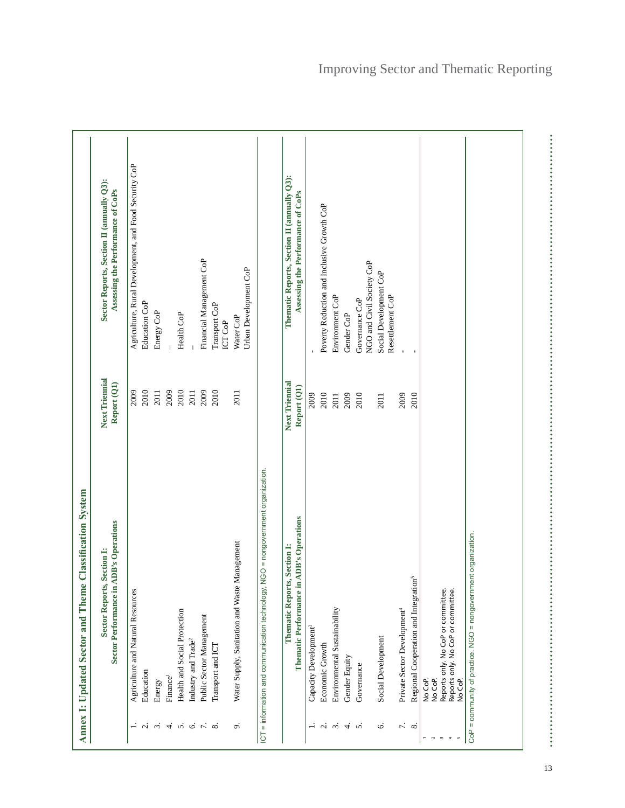| Annex I: Updated Sector and Theme                   | <b>Classification System</b>                                                                              |                               |                                                                                |
|-----------------------------------------------------|-----------------------------------------------------------------------------------------------------------|-------------------------------|--------------------------------------------------------------------------------|
|                                                     | Sector Performance in ADB's Operations<br>Section I:<br>Sector Reports,                                   | Next Triennial<br>Report (Q1) | Sector Reports, Section II (annually Q3):<br>Assessing the Performance of CoPs |
|                                                     |                                                                                                           |                               |                                                                                |
|                                                     | Agriculture and Natural Resources                                                                         | 2009                          | Agriculture, Rural Development, and Food Security CoP                          |
|                                                     | Education                                                                                                 | 2010                          | Education CoP                                                                  |
| $\alpha$ $\alpha$ $\alpha$ $\beta$ $\alpha$ $\beta$ | Energy                                                                                                    | 2011                          | Energy CoP                                                                     |
|                                                     | Finance <sup>1</sup>                                                                                      | 2009                          |                                                                                |
|                                                     | Health and Social Protection                                                                              | 2010                          | Health CoP                                                                     |
|                                                     | Industry and Trade <sup>2</sup>                                                                           | 2011                          |                                                                                |
| $\mathbb{R}^2$ of                                   | Public Sector Management                                                                                  | 2009                          | Financial Management CoP                                                       |
|                                                     | Transport and ICT                                                                                         | 2010                          | Transport CoP<br><b>ICT CoP</b>                                                |
| ö                                                   | Management<br>Water Supply, Sanitation and Waste                                                          | 2011                          | Water CoP                                                                      |
|                                                     |                                                                                                           |                               | Urban Development CoP                                                          |
|                                                     | NGO = nongovernment organization.<br>ICT = information and communication technology,                      |                               |                                                                                |
|                                                     | Thematic Reports, Section I:                                                                              | <b>Next Triennial</b>         | Thematic Reports, Section II (annually Q3):                                    |
|                                                     | Thematic Performance in ADB's Operations                                                                  | Report (Q1)                   | Assessing the Performance of CoPs                                              |
|                                                     | Capacity Development <sup>3</sup>                                                                         | 2009                          |                                                                                |
| $\sim$                                              | Economic Growth                                                                                           | 2010                          | Poverty Reduction and Inclusive Growth CoP                                     |
| $\omega$                                            | Environmental Sustainability                                                                              | 2011                          | Environment CoP                                                                |
| 4.                                                  | Gender Equity                                                                                             | 2009                          | Gender CoP                                                                     |
| ່ທ່                                                 | Governance                                                                                                | 2010                          | Governance CoP                                                                 |
|                                                     |                                                                                                           |                               | NGO and Civil Society CoP                                                      |
| 6.                                                  | <b>Social Development</b>                                                                                 | 2011                          | Social Development CoP<br>Resettlement CoP                                     |
|                                                     | Private Sector Development <sup>4</sup>                                                                   | 2009                          |                                                                                |
| $\vec{r}$ $\infty$                                  | Regional Cooperation and Integration <sup>5</sup>                                                         | 2010                          |                                                                                |
| $\,$<br>$\blacktriangleleft$                        | Reports only. No CoP or committee.<br>Reports only. No CoP or committee.<br>No CoP.<br>No CoP.<br>No CoP. |                               |                                                                                |
|                                                     | CoP = community of practice. NGO = nongovernment organization.                                            |                               |                                                                                |
|                                                     |                                                                                                           |                               |                                                                                |
|                                                     |                                                                                                           |                               |                                                                                |
|                                                     |                                                                                                           |                               |                                                                                |

 $\ddot{\cdot}$ 

........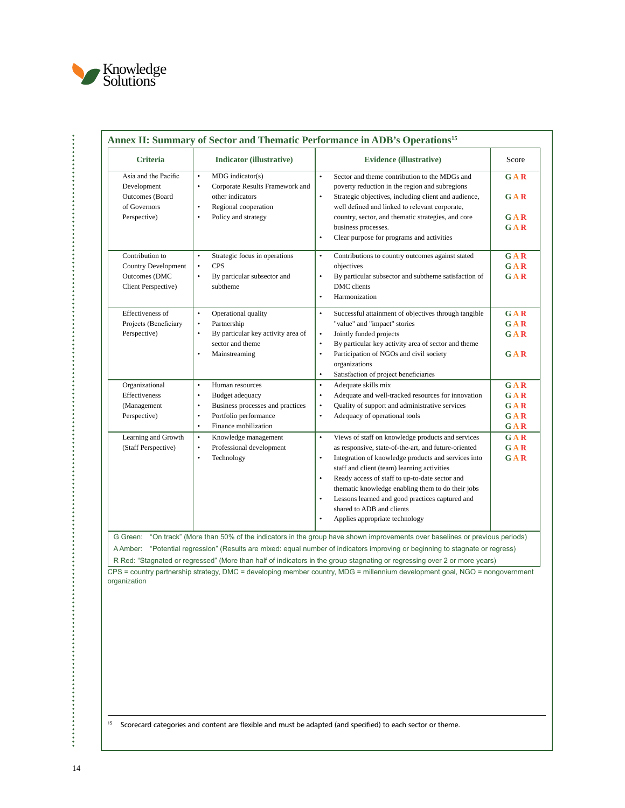

×

| <b>Criteria</b>                        | Indicator (illustrative)                                                            | Evidence (illustrative)                                                                                                                                                                                                                      | Score          |
|----------------------------------------|-------------------------------------------------------------------------------------|----------------------------------------------------------------------------------------------------------------------------------------------------------------------------------------------------------------------------------------------|----------------|
| Asia and the Pacific<br>Development    | $\bullet$<br>MDG indicator(s)<br>Corporate Results Framework and<br>$\bullet$       | $\bullet$<br>Sector and theme contribution to the MDGs and<br>poverty reduction in the region and subregions                                                                                                                                 | $G$ A R        |
| <b>Outcomes</b> (Board<br>of Governors | other indicators<br>Regional cooperation<br>$\bullet$                               | $\bullet$<br>Strategic objectives, including client and audience,<br>well defined and linked to relevant corporate,                                                                                                                          | $G$ A R        |
| Perspective)                           | Policy and strategy<br>$\bullet$                                                    | country, sector, and thematic strategies, and core                                                                                                                                                                                           | GAR            |
|                                        |                                                                                     | business processes.<br>Clear purpose for programs and activities<br>$\bullet$                                                                                                                                                                | GAR            |
| Contribution to                        | $\bullet$<br>Strategic focus in operations                                          | $\bullet$<br>Contributions to country outcomes against stated                                                                                                                                                                                | $G$ A R        |
| <b>Country Development</b>             | <b>CPS</b><br>$\bullet$                                                             | objectives                                                                                                                                                                                                                                   | GAR            |
| <b>Outcomes</b> (DMC                   | $\bullet$<br>By particular subsector and                                            | $\bullet$<br>By particular subsector and subtheme satisfaction of                                                                                                                                                                            | $G$ A R        |
| Client Perspective)                    | subtheme                                                                            | DMC clients<br>$\bullet$<br>Harmonization                                                                                                                                                                                                    |                |
| Effectiveness of                       | $\bullet$<br>Operational quality                                                    | $\bullet$<br>Successful attainment of objectives through tangible                                                                                                                                                                            | $G$ A R        |
| Projects (Beneficiary                  | $\bullet$<br>Partnership                                                            | "value" and "impact" stories                                                                                                                                                                                                                 | $G$ A R        |
| Perspective)                           | By particular key activity area of<br>$\bullet$<br>sector and theme                 | $\bullet$<br>Jointly funded projects<br>$\bullet$                                                                                                                                                                                            | GAR            |
|                                        | $\bullet$<br>Mainstreaming                                                          | By particular key activity area of sector and theme<br>Participation of NGOs and civil society<br>$\bullet$                                                                                                                                  | GAR            |
|                                        |                                                                                     | organizations                                                                                                                                                                                                                                |                |
|                                        |                                                                                     | Satisfaction of project beneficiaries<br>$\bullet$                                                                                                                                                                                           |                |
| Organizational                         | $\bullet$<br>Human resources                                                        | $\bullet$<br>Adequate skills mix                                                                                                                                                                                                             | $G$ A R        |
| <b>Effectiveness</b>                   | $\bullet$<br>Budget adequacy                                                        | $\bullet$<br>Adequate and well-tracked resources for innovation                                                                                                                                                                              | $G$ A R        |
| (Management<br>Perspective)            | $\bullet$<br>Business processes and practices<br>Portfolio performance<br>$\bullet$ | $\bullet$<br>Quality of support and administrative services<br>$\bullet$<br>Adequacy of operational tools                                                                                                                                    | $G$ A R<br>GAR |
|                                        | Finance mobilization<br>$\bullet$                                                   |                                                                                                                                                                                                                                              | GAR            |
| Learning and Growth                    | $\bullet$<br>Knowledge management                                                   | $\bullet$<br>Views of staff on knowledge products and services                                                                                                                                                                               | GAR            |
| (Staff Perspective)                    | $\bullet$<br>Professional development                                               | as responsive, state-of-the-art, and future-oriented                                                                                                                                                                                         | $G$ A R        |
|                                        | $\bullet$<br>Technology                                                             | Integration of knowledge products and services into<br>$\bullet$                                                                                                                                                                             | GAR            |
|                                        |                                                                                     | staff and client (team) learning activities<br>$\bullet$<br>Ready access of staff to up-to-date sector and                                                                                                                                   |                |
|                                        |                                                                                     | thematic knowledge enabling them to do their jobs                                                                                                                                                                                            |                |
|                                        |                                                                                     | $\bullet$<br>Lessons learned and good practices captured and                                                                                                                                                                                 |                |
|                                        |                                                                                     | shared to ADB and clients                                                                                                                                                                                                                    |                |
|                                        |                                                                                     | Applies appropriate technology                                                                                                                                                                                                               |                |
| G Green:<br>A Amber:                   |                                                                                     | "On track" (More than 50% of the indicators in the group have shown improvements over baselines or previous periods)<br>"Potential regression" (Results are mixed: equal number of indicators improving or beginning to stagnate or regress) |                |
|                                        |                                                                                     | R Red: "Stagnated or regressed" (More than half of indicators in the group stagnating or regressing over 2 or more years)                                                                                                                    |                |
|                                        |                                                                                     | CPS = country partnership strategy, DMC = developing member country, MDG = millennium development goal, NGO = nongovernment                                                                                                                  |                |
| organization                           |                                                                                     |                                                                                                                                                                                                                                              |                |
|                                        |                                                                                     |                                                                                                                                                                                                                                              |                |
|                                        |                                                                                     |                                                                                                                                                                                                                                              |                |
|                                        |                                                                                     |                                                                                                                                                                                                                                              |                |
|                                        |                                                                                     |                                                                                                                                                                                                                                              |                |
|                                        |                                                                                     |                                                                                                                                                                                                                                              |                |
|                                        |                                                                                     |                                                                                                                                                                                                                                              |                |
|                                        |                                                                                     |                                                                                                                                                                                                                                              |                |
|                                        |                                                                                     |                                                                                                                                                                                                                                              |                |
|                                        |                                                                                     |                                                                                                                                                                                                                                              |                |
|                                        |                                                                                     |                                                                                                                                                                                                                                              |                |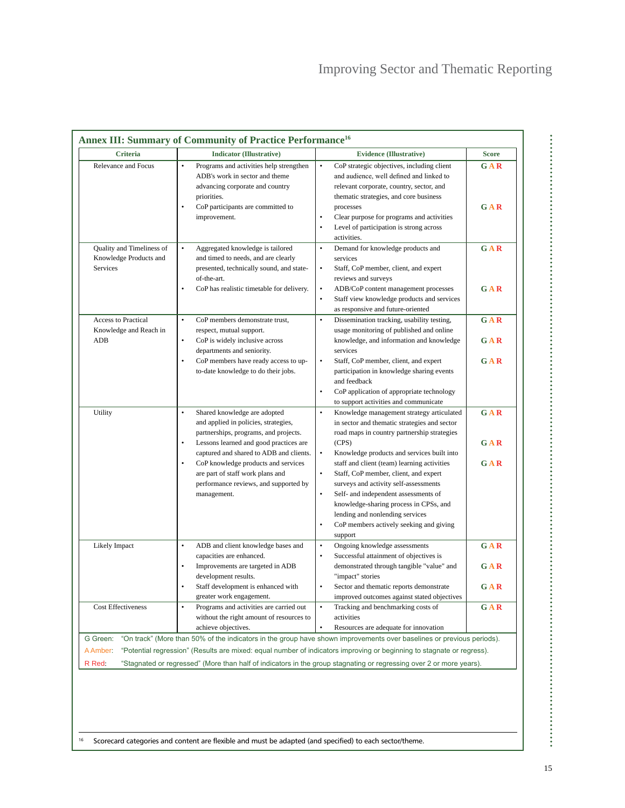| <b>Criteria</b>                                                 | <b>Indicator</b> (Illustrative)                                                                                                                                                               | <b>Evidence (Illustrative)</b>                                                                                                                                                                                                                                                                                                                                        | <b>Score</b>   |
|-----------------------------------------------------------------|-----------------------------------------------------------------------------------------------------------------------------------------------------------------------------------------------|-----------------------------------------------------------------------------------------------------------------------------------------------------------------------------------------------------------------------------------------------------------------------------------------------------------------------------------------------------------------------|----------------|
| <b>Relevance and Focus</b>                                      | $\bullet$<br>Programs and activities help strengthen<br>ADB's work in sector and theme<br>advancing corporate and country<br>priorities.<br>CoP participants are committed to<br>improvement. | $\bullet$<br>CoP strategic objectives, including client<br>and audience, well defined and linked to<br>relevant corporate, country, sector, and<br>thematic strategies, and core business<br>processes<br>Clear purpose for programs and activities<br>$\bullet$<br>Level of participation is strong across<br>activities.                                            | GAR<br>GAR     |
| Quality and Timeliness of<br>Knowledge Products and<br>Services | Aggregated knowledge is tailored<br>and timed to needs, and are clearly<br>presented, technically sound, and state-<br>of-the-art.<br>CoP has realistic timetable for delivery.<br>$\bullet$  | Demand for knowledge products and<br>$\bullet$<br>services<br>$\bullet$<br>Staff, CoP member, client, and expert<br>reviews and surveys<br>$\bullet$<br>ADB/CoP content management processes                                                                                                                                                                          | $G$ A R<br>GAR |
|                                                                 |                                                                                                                                                                                               | $\bullet$<br>Staff view knowledge products and services<br>as responsive and future-oriented                                                                                                                                                                                                                                                                          |                |
| <b>Access to Practical</b><br>Knowledge and Reach in<br>ADB     | $\bullet$<br>CoP members demonstrate trust,<br>respect, mutual support.<br>$\bullet$<br>CoP is widely inclusive across                                                                        | $\bullet$<br>Dissemination tracking, usability testing,<br>usage monitoring of published and online<br>knowledge, and information and knowledge                                                                                                                                                                                                                       | $G$ A R<br>GAR |
|                                                                 | departments and seniority.<br>$\bullet$<br>CoP members have ready access to up-<br>to-date knowledge to do their jobs.                                                                        | services<br>$\bullet$<br>Staff, CoP member, client, and expert<br>participation in knowledge sharing events<br>and feedback<br>$\bullet$<br>CoP application of appropriate technology<br>to support activities and communicate                                                                                                                                        | $G$ A R        |
| Utility                                                         | $\bullet$<br>Shared knowledge are adopted<br>and applied in policies, strategies,<br>partnerships, programs, and projects.                                                                    | $\ddot{\phantom{0}}$<br>Knowledge management strategy articulated<br>in sector and thematic strategies and sector<br>road maps in country partnership strategies                                                                                                                                                                                                      | $G$ A R        |
|                                                                 | $\bullet$<br>Lessons learned and good practices are<br>captured and shared to ADB and clients.                                                                                                | (CPS)<br>$\bullet$<br>Knowledge products and services built into                                                                                                                                                                                                                                                                                                      | $G$ A R        |
|                                                                 | CoP knowledge products and services<br>$\bullet$<br>are part of staff work plans and<br>performance reviews, and supported by<br>management.                                                  | staff and client (team) learning activities<br>$\bullet$<br>Staff, CoP member, client, and expert<br>surveys and activity self-assessments<br>$\bullet$<br>Self- and independent assessments of<br>knowledge-sharing process in CPSs, and<br>lending and nonlending services<br>CoP members actively seeking and giving<br>$\bullet$<br>support                       | GAR            |
| Likely Impact                                                   | $\bullet$<br>ADB and client knowledge bases and<br>capacities are enhanced.<br>Improvements are targeted in ADB                                                                               | $\bullet$<br>Ongoing knowledge assessments<br>$\bullet$<br>Successful attainment of objectives is<br>demonstrated through tangible "value" and                                                                                                                                                                                                                        | $G$ A R<br>GAR |
|                                                                 | development results.<br>Staff development is enhanced with<br>greater work engagement.                                                                                                        | "impact" stories<br>$\bullet$<br>Sector and thematic reports demonstrate<br>improved outcomes against stated objectives                                                                                                                                                                                                                                               | <b>GAR</b>     |
| <b>Cost Effectiveness</b>                                       | $\bullet$<br>Programs and activities are carried out<br>without the right amount of resources to<br>achieve objectives.                                                                       | $\bullet$<br>Tracking and benchmarking costs of<br>activities<br>Resources are adequate for innovation                                                                                                                                                                                                                                                                | <b>GAR</b>     |
| G Green:<br>A Amber:<br>R Red:                                  |                                                                                                                                                                                               | "On track" (More than 50% of the indicators in the group have shown improvements over baselines or previous periods).<br>"Potential regression" (Results are mixed: equal number of indicators improving or beginning to stagnate or regress).<br>"Stagnated or regressed" (More than half of indicators in the group stagnating or regressing over 2 or more years). |                |

16 Scorecard categories and content are flexible and must be adapted (and specified) to each sector/theme.

............

......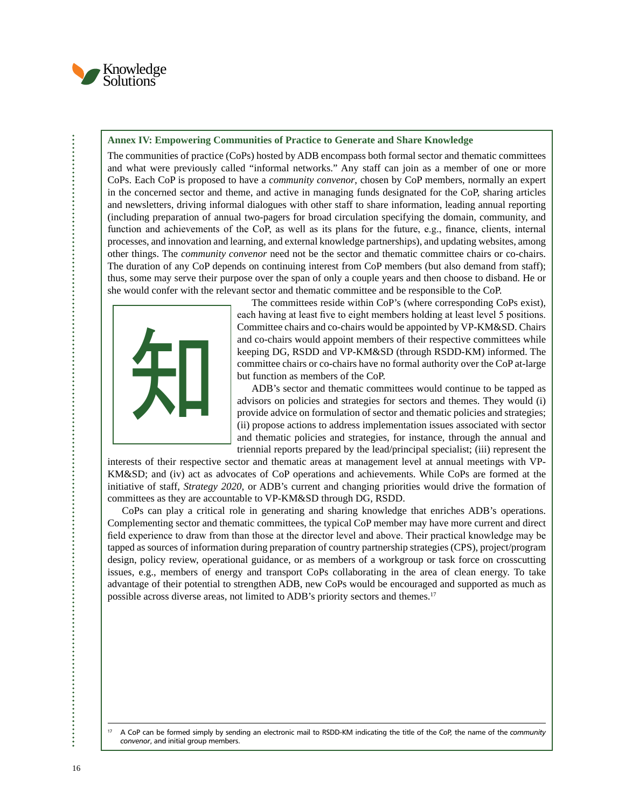

#### **Annex IV: Empowering Communities of Practice to Generate and Share Knowledge**

The communities of practice (CoPs) hosted by ADB encompass both formal sector and thematic committees and what were previously called "informal networks." Any staff can join as a member of one or more CoPs. Each CoP is proposed to have a *community convenor*, chosen by CoP members, normally an expert in the concerned sector and theme, and active in managing funds designated for the CoP, sharing articles and newsletters, driving informal dialogues with other staff to share information, leading annual reporting (including preparation of annual two-pagers for broad circulation specifying the domain, community, and function and achievements of the CoP, as well as its plans for the future, e.g., finance, clients, internal processes, and innovation and learning, and external knowledge partnerships), and updating websites, among other things. The *community convenor* need not be the sector and thematic committee chairs or co-chairs. The duration of any CoP depends on continuing interest from CoP members (but also demand from staff); thus, some may serve their purpose over the span of only a couple years and then choose to disband. He or she would confer with the relevant sector and thematic committee and be responsible to the CoP.



The committees reside within CoP's (where corresponding CoPs exist), each having at least five to eight members holding at least level 5 positions. Committee chairs and co-chairs would be appointed by VP-KM&SD. Chairs and co-chairs would appoint members of their respective committees while keeping DG, RSDD and VP-KM&SD (through RSDD-KM) informed. The committee chairs or co-chairs have no formal authority over the CoP at-large but function as members of the CoP.

ADB's sector and thematic committees would continue to be tapped as advisors on policies and strategies for sectors and themes. They would (i) provide advice on formulation of sector and thematic policies and strategies; (ii) propose actions to address implementation issues associated with sector and thematic policies and strategies, for instance, through the annual and triennial reports prepared by the lead/principal specialist; (iii) represent the

interests of their respective sector and thematic areas at management level at annual meetings with VP-KM&SD; and (iv) act as advocates of CoP operations and achievements. While CoPs are formed at the initiative of staff, *Strategy 2020*, or ADB's current and changing priorities would drive the formation of committees as they are accountable to VP-KM&SD through DG, RSDD.

CoPs can play a critical role in generating and sharing knowledge that enriches ADB's operations. Complementing sector and thematic committees, the typical CoP member may have more current and direct field experience to draw from than those at the director level and above. Their practical knowledge may be tapped as sources of information during preparation of country partnership strategies (CPS), project/program design, policy review, operational guidance, or as members of a workgroup or task force on crosscutting issues, e.g., members of energy and transport CoPs collaborating in the area of clean energy. To take advantage of their potential to strengthen ADB, new CoPs would be encouraged and supported as much as possible across diverse areas, not limited to ADB's priority sectors and themes.17

17 A CoP can be formed simply by sending an electronic mail to RSDD-KM indicating the title of the CoP, the name of the *community convenor*, and initial group members.

÷.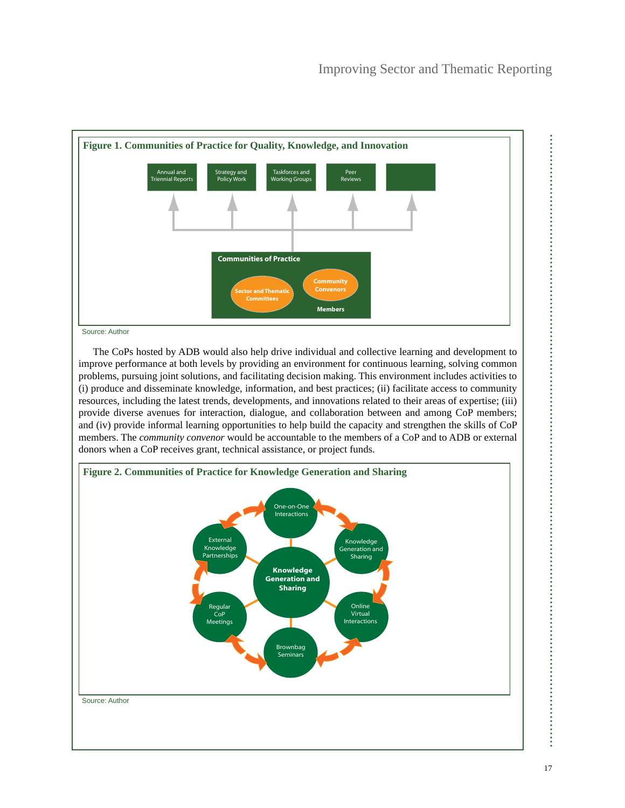

#### Source: Author

The CoPs hosted by ADB would also help drive individual and collective learning and development to improve performance at both levels by providing an environment for continuous learning, solving common problems, pursuing joint solutions, and facilitating decision making. This environment includes activities to (i) produce and disseminate knowledge, information, and best practices; (ii) facilitate access to community resources, including the latest trends, developments, and innovations related to their areas of expertise; (iii) provide diverse avenues for interaction, dialogue, and collaboration between and among CoP members; and (iv) provide informal learning opportunities to help build the capacity and strengthen the skills of CoP members. The *community convenor* would be accountable to the members of a CoP and to ADB or external donors when a CoP receives grant, technical assistance, or project funds.

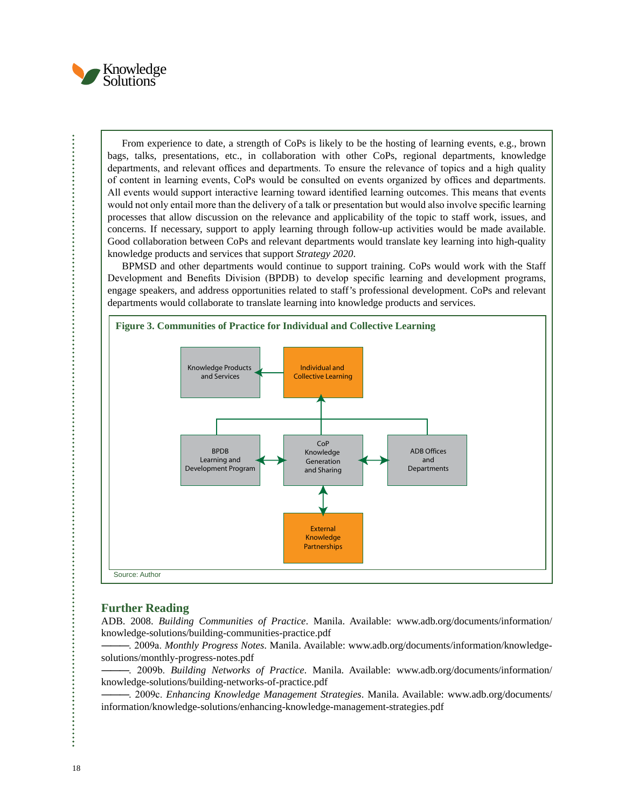

From experience to date, a strength of CoPs is likely to be the hosting of learning events, e.g., brown bags, talks, presentations, etc., in collaboration with other CoPs, regional departments, knowledge departments, and relevant offices and departments. To ensure the relevance of topics and a high quality of content in learning events, CoPs would be consulted on events organized by offices and departments. All events would support interactive learning toward identified learning outcomes. This means that events would not only entail more than the delivery of a talk or presentation but would also involve specific learning processes that allow discussion on the relevance and applicability of the topic to staff work, issues, and concerns. If necessary, support to apply learning through follow-up activities would be made available. Good collaboration between CoPs and relevant departments would translate key learning into high-quality knowledge products and services that support *Strategy 2020*.

BPMSD and other departments would continue to support training. CoPs would work with the Staff Development and Benefits Division (BPDB) to develop specific learning and development programs, engage speakers, and address opportunities related to staff's professional development. CoPs and relevant departments would collaborate to translate learning into knowledge products and services.



## **Further Reading**

ADB. 2008. *[Building Communities of Practice](http://www.adb.org/documents/information/knowledge-solutions/building-communities-practice.pdf)*. Manila. Available: [www.adb.org/documents/information/](http://www.adb.org/documents/information/knowledge-solutions/building-communities-practice.pdf) [knowledge-solutions/building-communities-practice.pdf](http://www.adb.org/documents/information/knowledge-solutions/building-communities-practice.pdf)

―――. 2009a. *[Monthly Progress Notes](http://www.adb.org/documents/information/knowledge-solutions/monthly-progress-notes.pdf)*. Manila. Available: [www.adb.org/documents/information/knowledge](http://www.adb.org/documents/information/knowledge-solutions/monthly-progress-notes.pdf)[solutions/monthly-progress-notes.pdf](http://www.adb.org/documents/information/knowledge-solutions/monthly-progress-notes.pdf)

―――. 2009b. *[Building Networks of Practice](http://www.adb.org/documents/information/knowledge-solutions/building-networks-of-practice.pdf)*. Manila. Available: [www.adb.org/documents/information/](http://www.adb.org/documents/information/knowledge-solutions/building-networks-of-practice.pdf) [knowledge-solutions/building-networks-of-practice.pdf](http://www.adb.org/documents/information/knowledge-solutions/building-networks-of-practice.pdf)

―――. 2009c. *[Enhancing Knowledge Management Strategies](http://www.adb.org/documents/information/knowledge-solutions/enhancing-knowledge-management-strategies.pdf)*. Manila. Available: [www.adb.org/documents/](http://www.adb.org/documents/information/knowledge-solutions/enhancing-knowledge-management-strategies.pdf) [information/knowledge-solutions/enhancing-knowledge-management-strategies.pdf](http://www.adb.org/documents/information/knowledge-solutions/enhancing-knowledge-management-strategies.pdf)